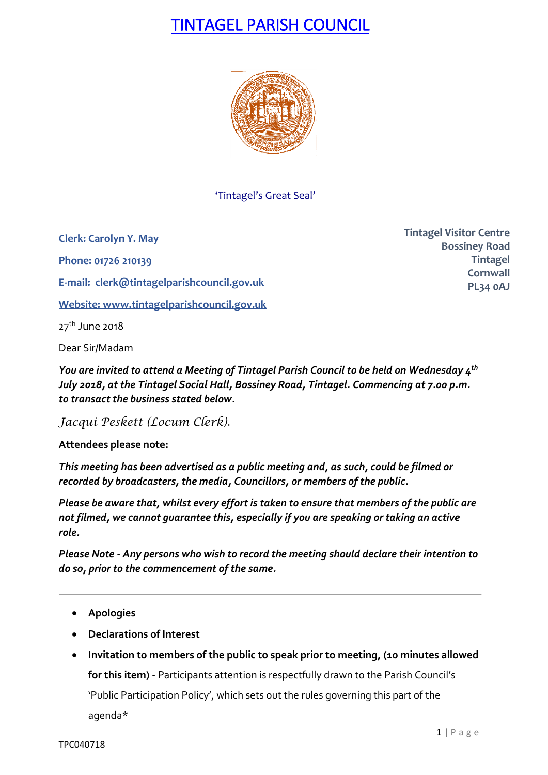# TINTAGEL PARISH COUNCIL



'Tintagel's Great Seal'

**Clerk: Carolyn Y. May**

**Phone: 01726 210139**

**E-mail: [clerk@tintagelparishcouncil.gov.uk](mailto:clerk@tintagelparishcouncil.gov.uk)**

**Website: [www.tintagelparishcouncil.gov.uk](http://www.tintagelparishcouncil.gov.uk/)**

 $27<sup>th</sup>$  June 2018

Dear Sir/Madam

*You are invited to attend a Meeting of Tintagel Parish Council to be held on Wednesday 4 th July 2018, at the Tintagel Social Hall, Bossiney Road, Tintagel. Commencing at 7.00 p.m. to transact the business stated below.*

*Jacqui Peskett (Locum Clerk).*

**Attendees please note:**

*This meeting has been advertised as a public meeting and, as such, could be filmed or recorded by broadcasters, the media, Councillors, or members of the public.*

*Please be aware that, whilst every effort is taken to ensure that members of the public are not filmed, we cannot guarantee this, especially if you are speaking or taking an active role.*

*Please Note - Any persons who wish to record the meeting should declare their intention to do so, prior to the commencement of the same.*

- **Apologies**
- **Declarations of Interest**
- **Invitation to members of the public to speak prior to meeting, (10 minutes allowed for this item) -** Participants attention is respectfully drawn to the Parish Council's 'Public Participation Policy', which sets out the rules governing this part of the agenda\*

**Tintagel Visitor Centre Bossiney Road Tintagel Cornwall PL34 0AJ**